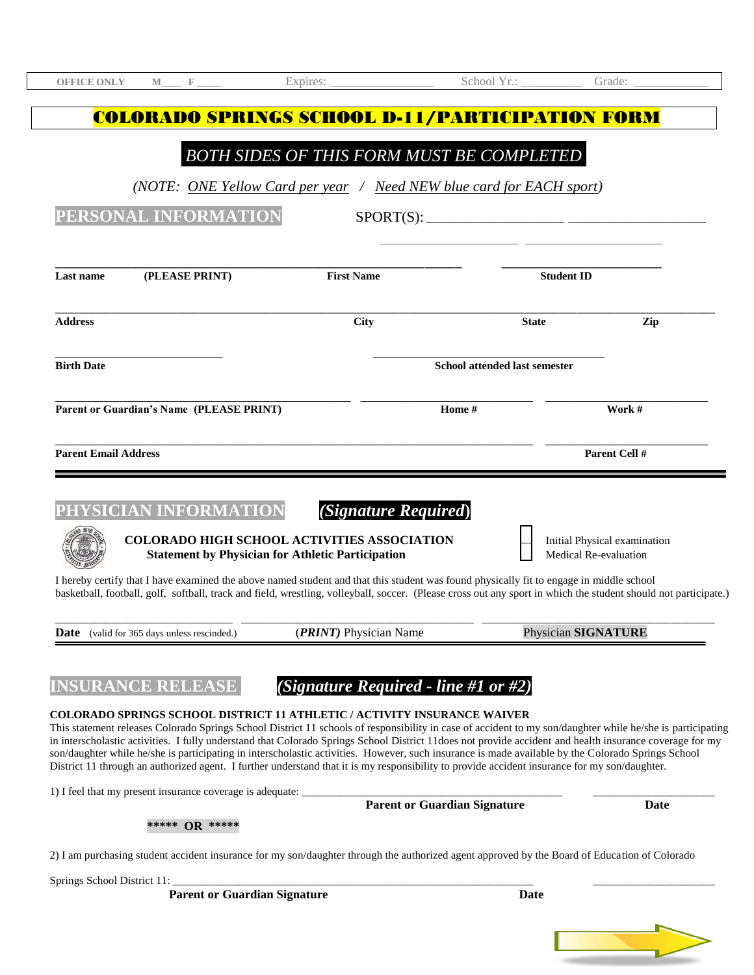| <b>OFFICE ONLY</b>                                 | M | $\mathbf{F}$ and $\mathbf{F}$ and $\mathbf{F}$ and $\mathbf{F}$ | Expires: $\frac{1}{\sqrt{1-\frac{1}{2}}\sqrt{1-\frac{1}{2}}\sqrt{1-\frac{1}{2}}\sqrt{1-\frac{1}{2}}\sqrt{1-\frac{1}{2}}\sqrt{1-\frac{1}{2}}\sqrt{1-\frac{1}{2}}\sqrt{1-\frac{1}{2}}\sqrt{1-\frac{1}{2}}\sqrt{1-\frac{1}{2}}\sqrt{1-\frac{1}{2}}\sqrt{1-\frac{1}{2}}\sqrt{1-\frac{1}{2}}\sqrt{1-\frac{1}{2}}\sqrt{1-\frac{1}{2}}\sqrt{1-\frac{1}{2}}\sqrt{1-\frac{1}{2}}\sqrt{1-\frac{1}{2}}\sqrt{1-\frac{1$ |                                                                                                                                                                                                                                                                                                            |                                                       |               |
|----------------------------------------------------|---|-----------------------------------------------------------------|-------------------------------------------------------------------------------------------------------------------------------------------------------------------------------------------------------------------------------------------------------------------------------------------------------------------------------------------------------------------------------------------------------------|------------------------------------------------------------------------------------------------------------------------------------------------------------------------------------------------------------------------------------------------------------------------------------------------------------|-------------------------------------------------------|---------------|
|                                                    |   |                                                                 |                                                                                                                                                                                                                                                                                                                                                                                                             | <b>COLORADO SPRINGS SCHOOL D-11/PARTICIPATION FORM</b>                                                                                                                                                                                                                                                     |                                                       |               |
|                                                    |   |                                                                 |                                                                                                                                                                                                                                                                                                                                                                                                             | <b>BOTH SIDES OF THIS FORM MUST BE COMPLETED</b>                                                                                                                                                                                                                                                           |                                                       |               |
|                                                    |   |                                                                 |                                                                                                                                                                                                                                                                                                                                                                                                             | (NOTE: ONE Yellow Card per year / Need NEW blue card for EACH sport)                                                                                                                                                                                                                                       |                                                       |               |
|                                                    |   | PERSONAL INFORMATION                                            |                                                                                                                                                                                                                                                                                                                                                                                                             | SPORT(S):                                                                                                                                                                                                                                                                                                  |                                                       |               |
|                                                    |   |                                                                 |                                                                                                                                                                                                                                                                                                                                                                                                             |                                                                                                                                                                                                                                                                                                            |                                                       |               |
| <b>Last name</b>                                   |   | (PLEASE PRINT)                                                  | <b>First Name</b>                                                                                                                                                                                                                                                                                                                                                                                           |                                                                                                                                                                                                                                                                                                            | <b>Student ID</b>                                     |               |
| <b>Address</b>                                     |   |                                                                 | <b>City</b>                                                                                                                                                                                                                                                                                                                                                                                                 |                                                                                                                                                                                                                                                                                                            | <b>State</b>                                          | Zip           |
| <b>Birth Date</b>                                  |   |                                                                 |                                                                                                                                                                                                                                                                                                                                                                                                             | <b>School attended last semester</b>                                                                                                                                                                                                                                                                       |                                                       |               |
| Parent or Guardian's Name (PLEASE PRINT)           |   |                                                                 |                                                                                                                                                                                                                                                                                                                                                                                                             | Home #                                                                                                                                                                                                                                                                                                     |                                                       | Work #        |
| <b>Parent Email Address</b>                        |   |                                                                 |                                                                                                                                                                                                                                                                                                                                                                                                             |                                                                                                                                                                                                                                                                                                            |                                                       | Parent Cell # |
|                                                    |   |                                                                 |                                                                                                                                                                                                                                                                                                                                                                                                             |                                                                                                                                                                                                                                                                                                            |                                                       |               |
|                                                    |   | PHYSICIAN INFORMATION                                           | <b>COLORADO HIGH SCHOOL ACTIVITIES ASSOCIATION</b><br><b>Statement by Physician for Athletic Participation</b>                                                                                                                                                                                                                                                                                              | (Signature Required)                                                                                                                                                                                                                                                                                       | Initial Physical examination<br>Medical Re-evaluation |               |
|                                                    |   |                                                                 |                                                                                                                                                                                                                                                                                                                                                                                                             | I hereby certify that I have examined the above named student and that this student was found physically fit to engage in middle school<br>basketball, football, golf, softball, track and field, wrestling, volleyball, soccer. (Please cross out any sport in which the student should not participate.) |                                                       |               |
| <b>Date</b> (valid for 365 days unless rescinded.) |   |                                                                 | (PRINT) Physician Name                                                                                                                                                                                                                                                                                                                                                                                      |                                                                                                                                                                                                                                                                                                            | Physician SIGNATURE                                   |               |

## **INSURANCE RELEASE** *(Signature Required - line #1 or #2)*

#### **COLORADO SPRINGS SCHOOL DISTRICT 11 ATHLETIC / ACTIVITY INSURANCE WAIVER**

This statement releases Colorado Springs School District 11 schools of responsibility in case of accident to my son/daughter while he/she is participating in interscholastic activities. I fully understand that Colorado Springs School District 11does not provide accident and health insurance coverage for my son/daughter while he/she is participating in interscholastic activities. However, such insurance is made available by the Colorado Springs School District 11 through an authorized agent. I further understand that it is my responsibility to provide accident insurance for my son/daughter.

| 1) I feel that my present insurance coverage is adequate: | <b>Parent or Guardian Signature</b>                                                                                                           | Date |
|-----------------------------------------------------------|-----------------------------------------------------------------------------------------------------------------------------------------------|------|
| ***** OR *****                                            |                                                                                                                                               |      |
|                                                           |                                                                                                                                               |      |
|                                                           |                                                                                                                                               |      |
| Springs School District 11:                               | 2) I am purchasing student accident insurance for my son/daughter through the authorized agent approved by the Board of Education of Colorado |      |